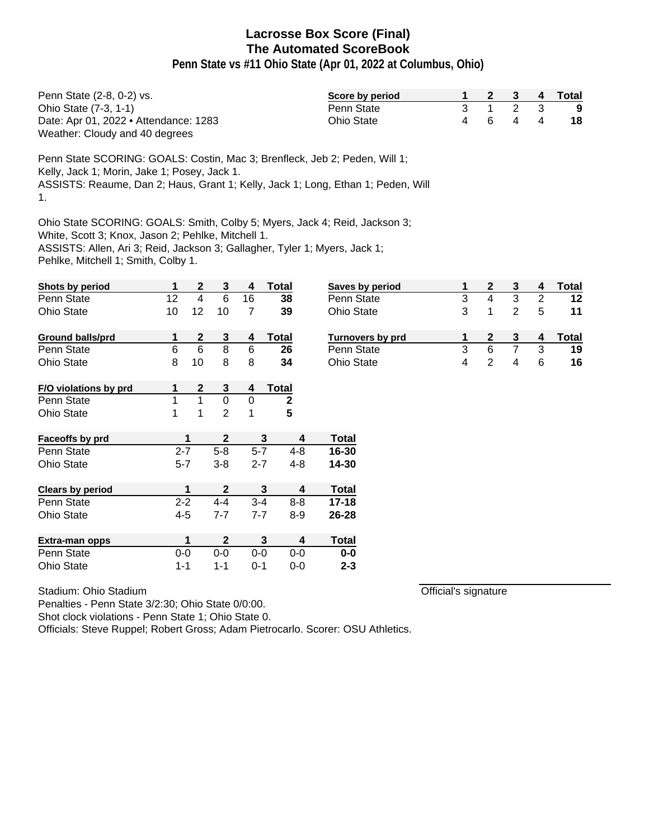**Penn State vs #11 Ohio State (Apr 01, 2022 at Columbus, Ohio)**

| Penn State (2-8, 0-2) vs.             | Score by period |  | 2 3 4   | Total |
|---------------------------------------|-----------------|--|---------|-------|
| Ohio State (7-3, 1-1)                 | Penn State      |  | 3 1 2 3 | - 9   |
| Date: Apr 01, 2022 • Attendance: 1283 | Ohio State      |  | 4 6 4 4 | 18    |
| Weather: Cloudy and 40 degrees        |                 |  |         |       |

Penn State SCORING: GOALS: Costin, Mac 3; Brenfleck, Jeb 2; Peden, Will 1; Kelly, Jack 1; Morin, Jake 1; Posey, Jack 1. ASSISTS: Reaume, Dan 2; Haus, Grant 1; Kelly, Jack 1; Long, Ethan 1; Peden, Will 1.

Ohio State SCORING: GOALS: Smith, Colby 5; Myers, Jack 4; Reid, Jackson 3; White, Scott 3; Knox, Jason 2; Pehlke, Mitchell 1. ASSISTS: Allen, Ari 3; Reid, Jackson 3; Gallagher, Tyler 1; Myers, Jack 1; Pehlke, Mitchell 1; Smith, Colby 1.

| Shots by period         | 1       | $\mathbf{2}$ | 3            | 4       | Total        | <b>Saves</b> |
|-------------------------|---------|--------------|--------------|---------|--------------|--------------|
| Penn State              | 12      | 4            | 6            | 16      | 38           | Penn         |
| <b>Ohio State</b>       | 10      | 12           | 10           | 7       | 39           | Ohio S       |
| <b>Ground balls/prd</b> | 1       | $\mathbf{2}$ | 3            | 4       | <b>Total</b> | <b>Turno</b> |
| Penn State              | 6       | 6            | 8            | 6       | 26           | Penn         |
| <b>Ohio State</b>       | 8       | 10           | 8            | 8       | 34           | Ohio S       |
| F/O violations by prd   | 1       | 2            | 3            | 4       | <b>Total</b> |              |
| Penn State              | 1       | 1            | 0            | 0       | $\mathbf{2}$ |              |
| <b>Ohio State</b>       | 1       | 1            | 2            | 1       | 5            |              |
| Faceoffs by prd         |         | 1            | $\mathbf{2}$ |         | 3<br>4       | Total        |
| Penn State              | $2 - 7$ |              | $5 - 8$      | $5-7$   | $4 - 8$      | 16-30        |
| <b>Ohio State</b>       | $5 - 7$ |              | $3 - 8$      | $2 - 7$ | 4-8          | 14-30        |
| <b>Clears by period</b> |         | 1            | $\mathbf{2}$ |         | 3<br>4       | Total        |
| Penn State              | $2 - 2$ |              | $4 - 4$      | $3 - 4$ | $8 - 8$      | 17-18        |
| <b>Ohio State</b>       | $4 - 5$ |              | $7 - 7$      | $7 - 7$ | $8 - 9$      | 26-28        |
| Extra-man opps          |         | 1            | $\mathbf{2}$ |         | 3<br>4       | Total        |
| Penn State              | $0 - 0$ |              | $0 - 0$      | $0 - 0$ | $0-0$        | $0-0$        |
| <b>Ohio State</b>       | $1 - 1$ |              | 1-1          | $0 - 1$ | $0 - 0$      | $2 - 3$      |

Penalties - Penn State 3/2:30; Ohio State 0/0:00.

Stadium: Ohio Stadium

Shot clock violations - Penn State 1; Ohio State 0.

Officials: Steve Ruppel; Robert Gross; Adam Pietrocarlo. Scorer: OSU Athletics.

| Saves by period         |   |   |   |   | Total |
|-------------------------|---|---|---|---|-------|
| Penn State              | 3 |   | 3 | 2 | 12    |
| Ohio State              | 3 |   |   | 5 | 11    |
|                         |   |   |   |   |       |
| <b>Turnovers by prd</b> |   |   |   |   | Total |
| Penn State              | 3 | 6 |   | 3 | 19    |
| <b>Ohio State</b>       |   |   |   | 6 | 16    |

Official's signature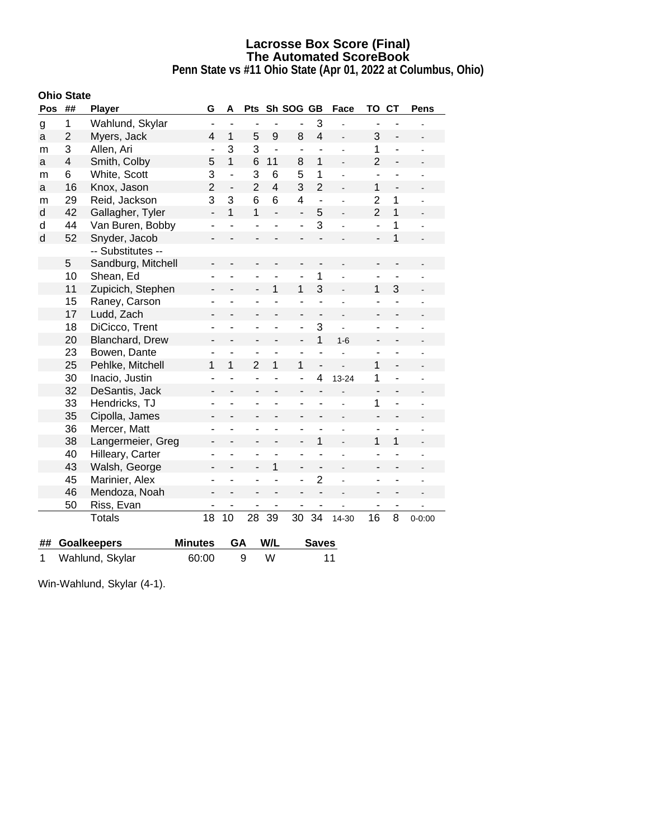**Penn State vs #11 Ohio State (Apr 01, 2022 at Columbus, Ohio)**

### **Ohio State**

| Pos          | ##                      | <b>Player</b>      | G              | A              | <b>Pts</b>     |                |                          | Sh SOG GB<br>Face |                | TO                       | <b>CT</b>                    | Pens |
|--------------|-------------------------|--------------------|----------------|----------------|----------------|----------------|--------------------------|-------------------|----------------|--------------------------|------------------------------|------|
| g            | 1                       | Wahlund, Skylar    |                |                |                |                |                          | 3                 |                |                          |                              |      |
| a            | $\overline{2}$          | Myers, Jack        | 4              | $\mathbf{1}$   | 5              | 9              | 8                        | $\overline{4}$    |                | 3                        | $\qquad \qquad \blacksquare$ |      |
| m            | 3                       | Allen, Ari         | $\blacksquare$ | 3              | 3              | $\overline{a}$ | $\overline{\phantom{a}}$ | $\overline{a}$    |                | 1                        | $\overline{\phantom{a}}$     |      |
| a            | $\overline{\mathbf{4}}$ | Smith, Colby       | 5              | 1              | 6              | 11             | 8                        | 1                 |                | $\overline{2}$           | $\overline{a}$               |      |
| m            | 6                       | White, Scott       | 3              | $\overline{a}$ | 3              | 6              | 5                        | 1                 |                | ÷,                       | ÷,                           |      |
| a            | 16                      | Knox, Jason        | $\overline{2}$ | $\overline{a}$ | $\overline{2}$ | $\overline{4}$ | 3                        | $\overline{2}$    |                | 1                        |                              |      |
| m            | 29                      | Reid, Jackson      | 3              | 3              | 6              | 6              | 4                        | $\overline{a}$    |                | $\overline{2}$           | 1                            |      |
| d            | 42                      | Gallagher, Tyler   | L.             | 1              | 1              | $\overline{a}$ | $\overline{a}$           | 5                 |                | $\overline{2}$           | 1                            |      |
| d            | 44                      | Van Buren, Bobby   | -              |                |                |                |                          | 3                 |                | ä,                       | 1                            |      |
| $\mathsf{d}$ | 52                      | Snyder, Jacob      |                |                |                |                |                          |                   |                |                          | 1                            |      |
|              |                         | -- Substitutes --  |                |                |                |                |                          |                   |                |                          |                              |      |
|              | 5                       | Sandburg, Mitchell |                |                |                |                |                          |                   |                |                          |                              |      |
|              | 10                      | Shean, Ed          |                |                |                |                | $\blacksquare$           | 1                 |                | ۳                        | ä,                           |      |
|              | 11                      | Zupicich, Stephen  |                |                |                | 1              | 1                        | 3                 |                | 1                        | 3                            |      |
|              | 15                      | Raney, Carson      |                |                |                |                |                          |                   |                |                          |                              |      |
|              | 17                      | Ludd, Zach         |                |                |                |                | $\overline{\phantom{0}}$ | $\overline{a}$    |                |                          |                              |      |
|              | 18                      | DiCicco, Trent     | L              |                |                |                | ä,                       | 3                 |                |                          |                              |      |
|              | 20                      | Blanchard, Drew    |                |                |                |                |                          | 1                 | $1 - 6$        |                          |                              |      |
|              | 23                      | Bowen, Dante       |                |                |                |                |                          |                   |                |                          |                              |      |
|              | 25                      | Pehlke, Mitchell   | 1              | 1              | $\overline{2}$ | 1              | 1                        |                   |                | 1                        |                              |      |
|              | 30                      | Inacio, Justin     | L              | ÷              | ä,             |                | ÷,                       | 4                 | 13-24          | 1                        | $\overline{a}$               |      |
|              | 32                      | DeSantis, Jack     |                |                |                |                |                          |                   |                | $\overline{\phantom{0}}$ |                              |      |
|              | 33                      | Hendricks, TJ      |                |                |                |                |                          |                   |                | 1                        | $\overline{a}$               |      |
|              | 35                      | Cipolla, James     |                |                |                |                |                          |                   |                |                          |                              |      |
|              | 36                      | Mercer, Matt       |                |                |                |                |                          |                   |                | ۰                        |                              |      |
|              | 38                      | Langermeier, Greg  |                |                |                |                |                          | 1                 |                | 1                        | 1                            |      |
|              | 40                      | Hilleary, Carter   |                |                |                |                |                          |                   |                | ÷                        |                              |      |
|              | 43                      | Walsh, George      |                |                |                | 1              |                          |                   |                |                          |                              |      |
|              | 45                      | Marinier, Alex     | L              |                |                | $\overline{a}$ | $\blacksquare$           | $\overline{2}$    | $\overline{a}$ | ۳                        |                              |      |
|              | 46                      | Mendoza, Noah      |                |                |                |                |                          |                   |                |                          |                              |      |
|              | 50                      | Riss, Evan         |                |                |                | -              |                          |                   |                | ٠                        | $\qquad \qquad \blacksquare$ |      |
|              |                         | <b>Totals</b>      | 18             | 10             | 28             | 39             | 16<br>30<br>34<br>14-30  |                   | 8              | $0 - 0:00$               |                              |      |
| ##           |                         | <b>Goalkeepers</b> | <b>Minutes</b> | GA             |                | W/L            |                          | <b>Saves</b>      |                |                          |                              |      |
| 1            | Wahlund, Skylar         |                    | 60:00          |                | 9              | W              |                          |                   | 11             |                          |                              |      |

Win-Wahlund, Skylar (4-1).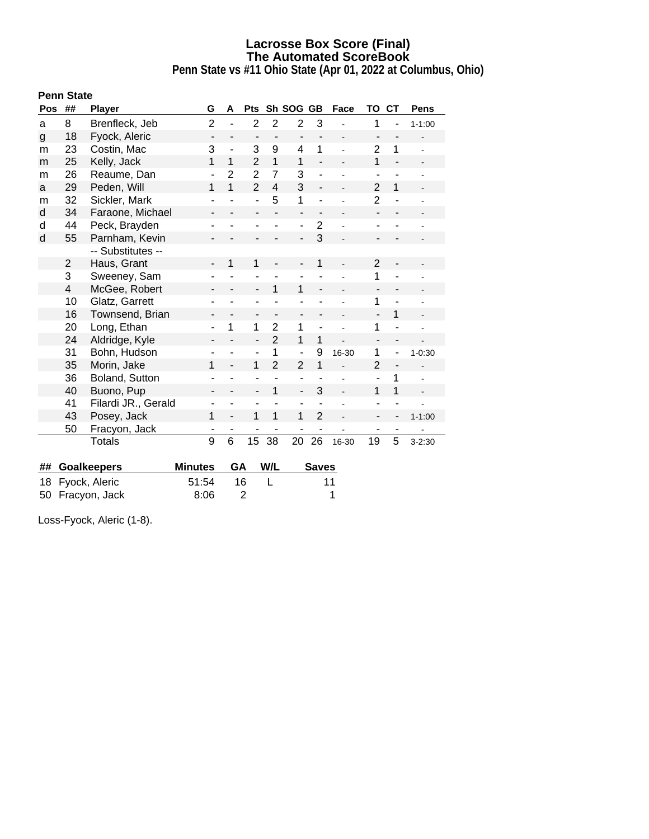**Penn State vs #11 Ohio State (Apr 01, 2022 at Columbus, Ohio)**

|            | <b>Penn State</b> |                     |                          |                              |                          |                          |                              |                          |                          |                              |                          |                |
|------------|-------------------|---------------------|--------------------------|------------------------------|--------------------------|--------------------------|------------------------------|--------------------------|--------------------------|------------------------------|--------------------------|----------------|
| <b>Pos</b> | ##                | <b>Player</b>       | G                        | A                            | <b>Pts</b>               |                          | Sh SOG GB                    |                          | Face                     | TO                           | <b>CT</b>                | <b>Pens</b>    |
| a          | 8                 | Brenfleck, Jeb      | $\overline{2}$           | $\blacksquare$               | $\overline{2}$           | $\overline{2}$           | $\overline{2}$               | 3                        |                          | 1                            |                          | $1 - 1:00$     |
| g          | 18                | Fyock, Aleric       | $\overline{\phantom{a}}$ | $\qquad \qquad \blacksquare$ |                          |                          | $\qquad \qquad \blacksquare$ |                          |                          |                              |                          |                |
| m          | 23                | Costin, Mac         | 3                        | $\overline{\phantom{m}}$     | 3                        | 9                        | 4                            | 1                        |                          | $\overline{2}$               | 1                        |                |
| m          | 25                | Kelly, Jack         | 1                        | $\mathbf{1}$                 | $\overline{2}$           | $\mathbf{1}$             | 1                            | $\overline{a}$           | $\overline{a}$           | $\mathbf{1}$                 | $\overline{\phantom{a}}$ |                |
| m          | 26                | Reaume, Dan         | ÷,                       | $\overline{2}$               | $\overline{2}$           | $\overline{7}$           | 3                            |                          |                          | ÷                            |                          |                |
| a          | 29                | Peden, Will         | 1                        | 1                            | $\overline{2}$           | $\overline{4}$           | 3                            | $\overline{a}$           |                          | $\overline{2}$               | $\mathbf{1}$             | $\overline{a}$ |
| m          | 32                | Sickler, Mark       | ۰                        |                              | L,                       | 5                        | 1                            |                          |                          | $\overline{2}$               |                          |                |
| d          | 34                | Faraone, Michael    | Ĭ.                       |                              | ÷,                       |                          | $\blacksquare$               | $\overline{\phantom{a}}$ |                          | $\overline{\phantom{a}}$     |                          |                |
| d          | 44                | Peck, Brayden       | -                        |                              | ٠                        |                          | $\overline{\phantom{a}}$     | $\overline{2}$           |                          | ٠                            |                          |                |
| d          | 55                | Parnham, Kevin      | -                        |                              |                          |                          | $\overline{a}$               | 3                        |                          |                              |                          |                |
|            |                   | -- Substitutes --   |                          |                              |                          |                          |                              |                          |                          |                              |                          |                |
|            | 2                 | Haus, Grant         | $\overline{\phantom{0}}$ | 1                            | 1                        |                          |                              | 1                        |                          | 2                            |                          |                |
|            | 3                 | Sweeney, Sam        |                          |                              |                          |                          |                              |                          |                          | 1                            |                          |                |
|            | 4                 | McGee, Robert       | -                        |                              | $\frac{1}{2}$            | 1                        | 1                            | $\overline{\phantom{0}}$ |                          | $\overline{\phantom{a}}$     |                          |                |
|            | 10                | Glatz, Garrett      |                          |                              | ۰                        |                          |                              |                          |                          | 1                            |                          |                |
|            | 16                | Townsend, Brian     | -                        | $\overline{\phantom{a}}$     | $\overline{\phantom{0}}$ | $\overline{\phantom{0}}$ | $\qquad \qquad \blacksquare$ | ٠                        | $\overline{\phantom{0}}$ | $\qquad \qquad \blacksquare$ | 1                        |                |
|            | 20                | Long, Ethan         | -                        | 1                            | 1                        | $\overline{2}$           | 1                            |                          |                          | 1                            |                          |                |
|            | 24                | Aldridge, Kyle      | -                        |                              | $\overline{\phantom{0}}$ | $\overline{2}$           | 1                            | 1                        |                          | $\overline{\phantom{a}}$     | $\overline{\phantom{a}}$ |                |
|            | 31                | Bohn, Hudson        |                          |                              | ÷,                       | 1                        | $\blacksquare$               | 9                        | 16-30                    | 1                            |                          | $1 - 0:30$     |
|            | 35                | Morin, Jake         | 1                        | $\overline{\phantom{0}}$     | 1                        | $\overline{2}$           | $\overline{2}$               | 1                        | $\overline{a}$           | $\overline{2}$               | $\overline{\phantom{a}}$ |                |
|            | 36                | Boland, Sutton      |                          |                              | ۰                        |                          | $\overline{\phantom{a}}$     |                          |                          | ÷                            | 1                        | ÷              |
|            | 40                | Buono, Pup          |                          |                              | $\overline{a}$           | 1                        | $\overline{a}$               | 3                        |                          | 1                            | 1                        |                |
|            | 41                | Filardi JR., Gerald | ٠                        |                              | ÷,                       | ÷,                       | $\overline{\phantom{a}}$     |                          |                          | ÷                            |                          |                |
|            | 43                | Posey, Jack         | 1                        |                              | 1                        | 1                        | 1                            | $\overline{2}$           |                          |                              |                          | $1 - 1:00$     |
|            | 50                | Fracyon, Jack       | ٠                        |                              | ۰                        |                          | ۰                            |                          |                          | ٠                            |                          |                |
|            |                   | Totals              | 9                        | 6                            | 15                       | 38                       | 20                           | 26                       | 16-30                    | 19                           | 5                        | $3 - 2:30$     |
|            |                   |                     |                          |                              |                          |                          |                              |                          |                          |                              |                          |                |

| ## Goalkeepers   | Minutes GA W/L |      | <b>Saves</b> |
|------------------|----------------|------|--------------|
| 18 Fyock, Aleric | 51:54          | - 16 | 11           |
| 50 Fracyon, Jack | 8:06           |      |              |

Loss-Fyock, Aleric (1-8).